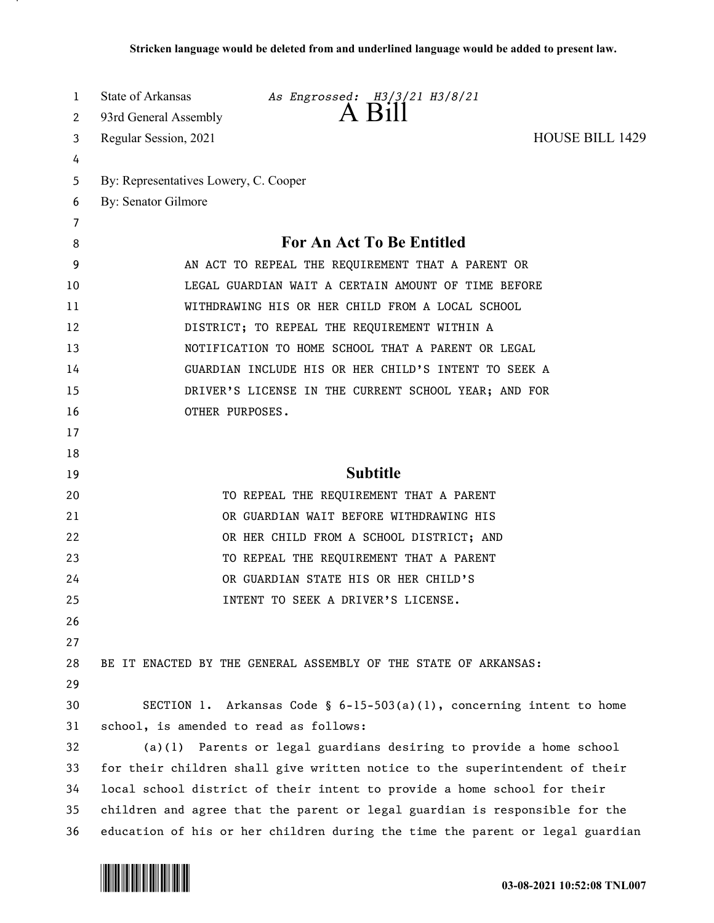| 1  | State of Arkansas<br>As Engrossed: H3/3/21 H3/8/21                            |
|----|-------------------------------------------------------------------------------|
| 2  | 93rd General Assembly                                                         |
| 3  | <b>HOUSE BILL 1429</b><br>Regular Session, 2021                               |
| 4  |                                                                               |
| 5  | By: Representatives Lowery, C. Cooper                                         |
| 6  | By: Senator Gilmore                                                           |
| 7  |                                                                               |
| 8  | <b>For An Act To Be Entitled</b>                                              |
| 9  | AN ACT TO REPEAL THE REQUIREMENT THAT A PARENT OR                             |
| 10 | LEGAL GUARDIAN WAIT A CERTAIN AMOUNT OF TIME BEFORE                           |
| 11 | WITHDRAWING HIS OR HER CHILD FROM A LOCAL SCHOOL                              |
| 12 | DISTRICT; TO REPEAL THE REQUIREMENT WITHIN A                                  |
| 13 | NOTIFICATION TO HOME SCHOOL THAT A PARENT OR LEGAL                            |
| 14 | GUARDIAN INCLUDE HIS OR HER CHILD'S INTENT TO SEEK A                          |
| 15 | DRIVER'S LICENSE IN THE CURRENT SCHOOL YEAR; AND FOR                          |
| 16 | OTHER PURPOSES.                                                               |
| 17 |                                                                               |
| 18 |                                                                               |
| 19 | <b>Subtitle</b>                                                               |
| 20 | TO REPEAL THE REQUIREMENT THAT A PARENT                                       |
| 21 | OR GUARDIAN WAIT BEFORE WITHDRAWING HIS                                       |
| 22 | OR HER CHILD FROM A SCHOOL DISTRICT; AND                                      |
| 23 | TO REPEAL THE REQUIREMENT THAT A PARENT                                       |
| 24 | OR GUARDIAN STATE HIS OR HER CHILD'S                                          |
| 25 | INTENT TO SEEK A DRIVER'S LICENSE                                             |
| 26 |                                                                               |
| 27 |                                                                               |
| 28 | BE IT ENACTED BY THE GENERAL ASSEMBLY OF THE STATE OF ARKANSAS:               |
| 29 |                                                                               |
| 30 | SECTION 1. Arkansas Code § $6-15-503(a)(1)$ , concerning intent to home       |
| 31 | school, is amended to read as follows:                                        |
| 32 | Parents or legal guardians desiring to provide a home school<br>(a)(1)        |
| 33 | for their children shall give written notice to the superintendent of their   |
| 34 | local school district of their intent to provide a home school for their      |
| 35 | children and agree that the parent or legal guardian is responsible for the   |
| 36 | education of his or her children during the time the parent or legal guardian |

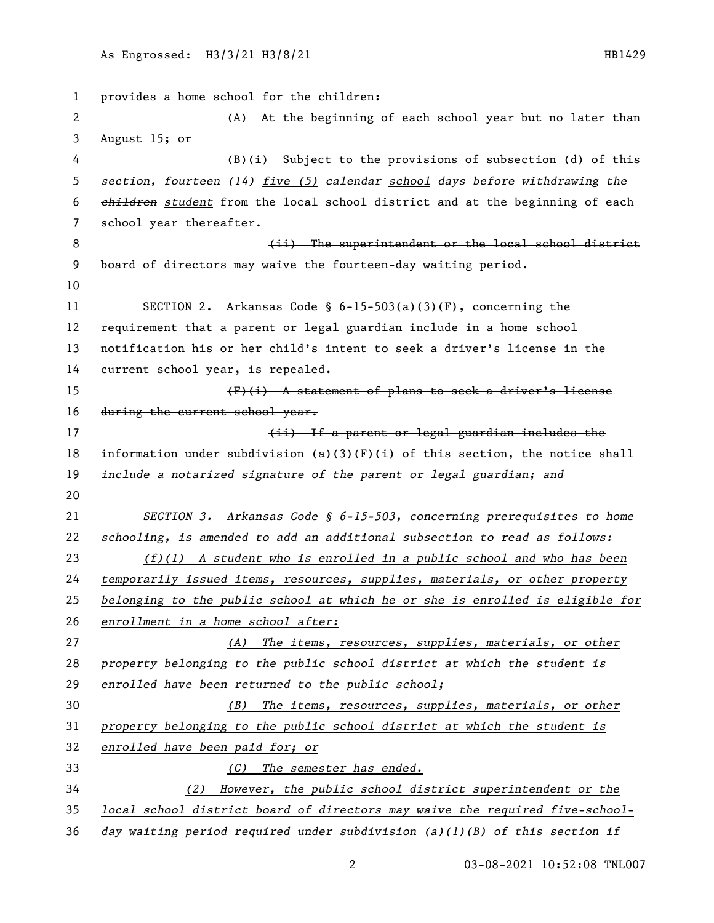provides a home school for the children: (A) At the beginning of each school year but no later than August 15; or 4 (B)(i) Subject to the provisions of subsection (d) of this *section, fourteen (14) five (5) calendar school days before withdrawing the children student* from the local school district and at the beginning of each school year thereafter. **8 Example 2** (ii) The superintendent or the local school district 9 board of directors may waive the fourteen-day waiting period. SECTION 2. Arkansas Code § 6-15-503(a)(3)(F), concerning the requirement that a parent or legal guardian include in a home school notification his or her child's intent to seek a driver's license in the current school year, is repealed. (F)(i) A statement of plans to seek a driver's license 16 during the current school year. 17 17 17 (ii) If a parent or legal guardian includes the 18 information under subdivision  $(a)(3)(F)(i)$  of this section, the notice shall *include a notarized signature of the parent or legal guardian; and SECTION 3. Arkansas Code § 6-15-503, concerning prerequisites to home schooling, is amended to add an additional subsection to read as follows: (f)(1) A student who is enrolled in a public school and who has been temporarily issued items, resources, supplies, materials, or other property belonging to the public school at which he or she is enrolled is eligible for enrollment in a home school after: (A) The items, resources, supplies, materials, or other property belonging to the public school district at which the student is enrolled have been returned to the public school; (B) The items, resources, supplies, materials, or other property belonging to the public school district at which the student is enrolled have been paid for; or (C) The semester has ended. (2) However, the public school district superintendent or the local school district board of directors may waive the required five-school-day waiting period required under subdivision (a)(1)(B) of this section if* 

03-08-2021 10:52:08 TNL007